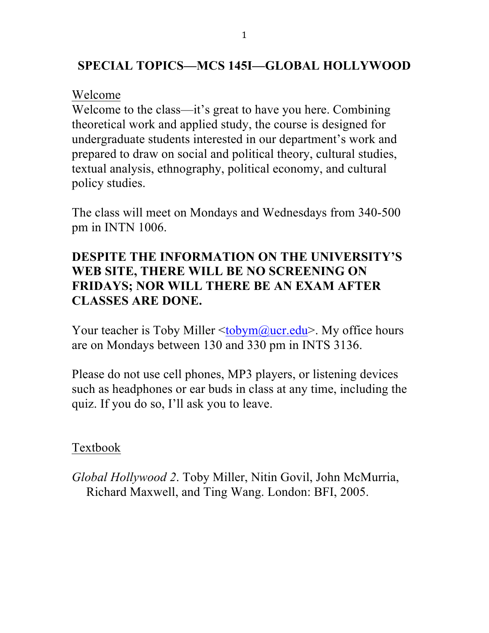### **SPECIAL TOPICS—MCS 145I—GLOBAL HOLLYWOOD**

#### Welcome

Welcome to the class—it's great to have you here. Combining theoretical work and applied study, the course is designed for undergraduate students interested in our department's work and prepared to draw on social and political theory, cultural studies, textual analysis, ethnography, political economy, and cultural policy studies.

The class will meet on Mondays and Wednesdays from 340-500 pm in INTN 1006.

# **DESPITE THE INFORMATION ON THE UNIVERSITY'S WEB SITE, THERE WILL BE NO SCREENING ON FRIDAYS; NOR WILL THERE BE AN EXAM AFTER CLASSES ARE DONE.**

Your teacher is Toby Miller  $\leq$ tobym@ucr.edu>. My office hours are on Mondays between 130 and 330 pm in INTS 3136.

Please do not use cell phones, MP3 players, or listening devices such as headphones or ear buds in class at any time, including the quiz. If you do so, I'll ask you to leave.

# Textbook

*Global Hollywood 2*. Toby Miller, Nitin Govil, John McMurria, Richard Maxwell, and Ting Wang. London: BFI, 2005.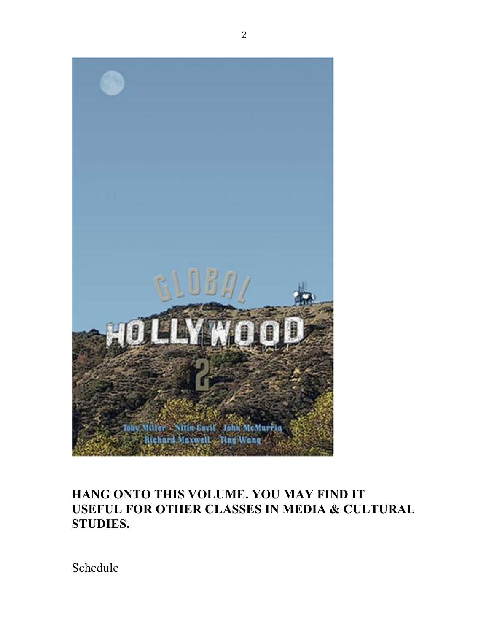

# **HANG ONTO THIS VOLUME. YOU MAY FIND IT USEFUL FOR OTHER CLASSES IN MEDIA & CULTURAL STUDIES.**

Schedule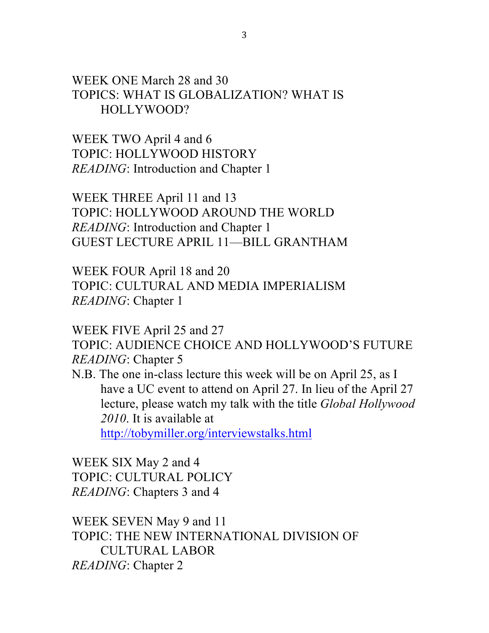WEEK ONE March 28 and 30 TOPICS: WHAT IS GLOBALIZATION? WHAT IS HOLLYWOOD?

WEEK TWO April 4 and 6 TOPIC: HOLLYWOOD HISTORY *READING*: Introduction and Chapter 1

WEEK THREE April 11 and 13 TOPIC: HOLLYWOOD AROUND THE WORLD *READING*: Introduction and Chapter 1 GUEST LECTURE APRIL 11—BILL GRANTHAM

WEEK FOUR April 18 and 20 TOPIC: CULTURAL AND MEDIA IMPERIALISM *READING*: Chapter 1

WEEK FIVE April 25 and 27 TOPIC: AUDIENCE CHOICE AND HOLLYWOOD'S FUTURE

*READING*: Chapter 5

N.B. The one in-class lecture this week will be on April 25, as I have a UC event to attend on April 27. In lieu of the April 27 lecture, please watch my talk with the title *Global Hollywood 2010*. It is available at

http://tobymiller.org/interviewstalks.html

WEEK SIX May 2 and 4 TOPIC: CULTURAL POLICY *READING*: Chapters 3 and 4

WEEK SEVEN May 9 and 11 TOPIC: THE NEW INTERNATIONAL DIVISION OF CULTURAL LABOR *READING*: Chapter 2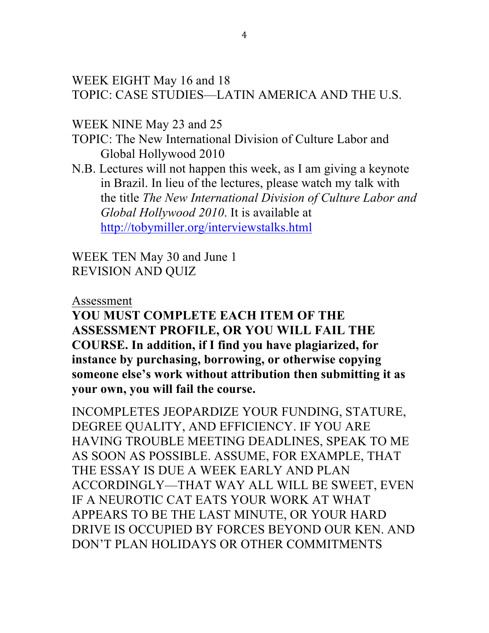WEEK EIGHT May 16 and 18 TOPIC: CASE STUDIES—LATIN AMERICA AND THE U.S.

WEEK NINE May 23 and 25

TOPIC: The New International Division of Culture Labor and Global Hollywood 2010

N.B. Lectures will not happen this week, as I am giving a keynote in Brazil. In lieu of the lectures, please watch my talk with the title *The New International Division of Culture Labor and Global Hollywood 2010*. It is available at http://tobymiller.org/interviewstalks.html

WEEK TEN May 30 and June 1 REVISION AND QUIZ

Assessment

**YOU MUST COMPLETE EACH ITEM OF THE ASSESSMENT PROFILE, OR YOU WILL FAIL THE COURSE. In addition, if I find you have plagiarized, for instance by purchasing, borrowing, or otherwise copying someone else's work without attribution then submitting it as your own, you will fail the course.**

INCOMPLETES JEOPARDIZE YOUR FUNDING, STATURE, DEGREE QUALITY, AND EFFICIENCY. IF YOU ARE HAVING TROUBLE MEETING DEADLINES, SPEAK TO ME AS SOON AS POSSIBLE. ASSUME, FOR EXAMPLE, THAT THE ESSAY IS DUE A WEEK EARLY AND PLAN ACCORDINGLY—THAT WAY ALL WILL BE SWEET, EVEN IF A NEUROTIC CAT EATS YOUR WORK AT WHAT APPEARS TO BE THE LAST MINUTE, OR YOUR HARD DRIVE IS OCCUPIED BY FORCES BEYOND OUR KEN. AND DON'T PLAN HOLIDAYS OR OTHER COMMITMENTS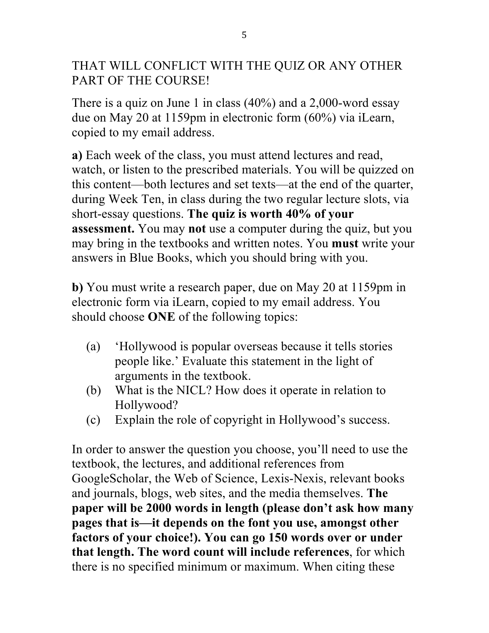THAT WILL CONFLICT WITH THE QUIZ OR ANY OTHER PART OF THE COURSE!

There is a quiz on June 1 in class (40%) and a 2,000-word essay due on May 20 at 1159pm in electronic form (60%) via iLearn, copied to my email address.

**a)** Each week of the class, you must attend lectures and read, watch, or listen to the prescribed materials. You will be quizzed on this content—both lectures and set texts—at the end of the quarter, during Week Ten, in class during the two regular lecture slots, via short-essay questions. **The quiz is worth 40% of your assessment.** You may **not** use a computer during the quiz, but you may bring in the textbooks and written notes. You **must** write your answers in Blue Books, which you should bring with you.

**b)** You must write a research paper, due on May 20 at 1159pm in electronic form via iLearn, copied to my email address. You should choose **ONE** of the following topics:

- (a) 'Hollywood is popular overseas because it tells stories people like.' Evaluate this statement in the light of arguments in the textbook.
- (b) What is the NICL? How does it operate in relation to Hollywood?
- (c) Explain the role of copyright in Hollywood's success.

In order to answer the question you choose, you'll need to use the textbook, the lectures, and additional references from GoogleScholar, the Web of Science, Lexis-Nexis, relevant books and journals, blogs, web sites, and the media themselves. **The paper will be 2000 words in length (please don't ask how many pages that is—it depends on the font you use, amongst other factors of your choice!). You can go 150 words over or under that length. The word count will include references**, for which there is no specified minimum or maximum. When citing these